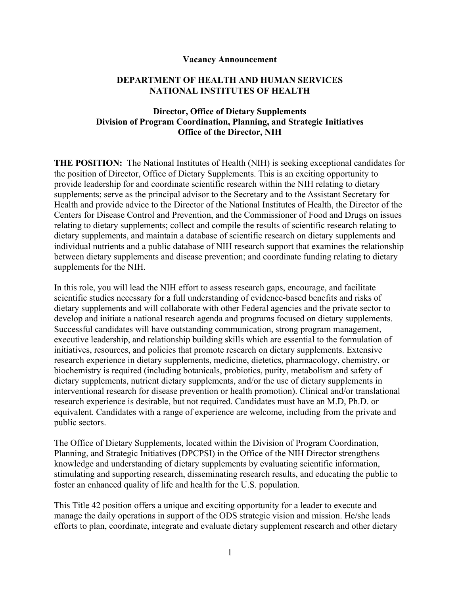#### **Vacancy Announcement**

#### **DEPARTMENT OF HEALTH AND HUMAN SERVICES NATIONAL INSTITUTES OF HEALTH**

## **Director, Office of Dietary Supplements Division of Program Coordination, Planning, and Strategic Initiatives Office of the Director, NIH**

**THE POSITION:** The National Institutes of Health (NIH) is seeking exceptional candidates for the position of Director, Office of Dietary Supplements. This is an exciting opportunity to provide leadership for and coordinate scientific research within the NIH relating to dietary supplements; serve as the principal advisor to the Secretary and to the Assistant Secretary for Health and provide advice to the Director of the National Institutes of Health, the Director of the Centers for Disease Control and Prevention, and the Commissioner of Food and Drugs on issues relating to dietary supplements; collect and compile the results of scientific research relating to dietary supplements, and maintain a database of scientific research on dietary supplements and individual nutrients and a public database of NIH research support that examines the relationship between dietary supplements and disease prevention; and coordinate funding relating to dietary supplements for the NIH.

In this role, you will lead the NIH effort to assess research gaps, encourage, and facilitate scientific studies necessary for a full understanding of evidence-based benefits and risks of dietary supplements and will collaborate with other Federal agencies and the private sector to develop and initiate a national research agenda and programs focused on dietary supplements. Successful candidates will have outstanding communication, strong program management, executive leadership, and relationship building skills which are essential to the formulation of initiatives, resources, and policies that promote research on dietary supplements. Extensive research experience in dietary supplements, medicine, dietetics, pharmacology, chemistry, or biochemistry is required (including botanicals, probiotics, purity, metabolism and safety of dietary supplements, nutrient dietary supplements, and/or the use of dietary supplements in interventional research for disease prevention or health promotion). Clinical and/or translational research experience is desirable, but not required. Candidates must have an M.D, Ph.D. or equivalent. Candidates with a range of experience are welcome, including from the private and public sectors.

The Office of Dietary Supplements, located within the Division of Program Coordination, Planning, and Strategic Initiatives (DPCPSI) in the Office of the NIH Director strengthens knowledge and understanding of dietary supplements by evaluating scientific information, stimulating and supporting research, disseminating research results, and educating the public to foster an enhanced quality of life and health for the U.S. population.

This Title 42 position offers a unique and exciting opportunity for a leader to execute and manage the daily operations in support of the ODS strategic vision and mission. He/she leads efforts to plan, coordinate, integrate and evaluate dietary supplement research and other dietary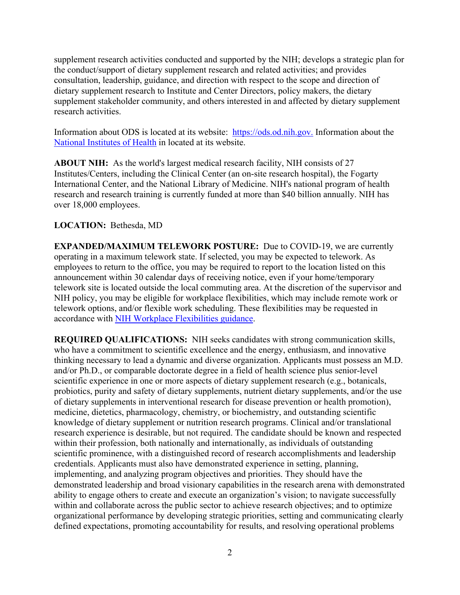supplement research activities conducted and supported by the NIH; develops a strategic plan for the conduct/support of dietary supplement research and related activities; and provides consultation, leadership, guidance, and direction with respect to the scope and direction of dietary supplement research to Institute and Center Directors, policy makers, the dietary supplement stakeholder community, and others interested in and affected by dietary supplement research activities.

Information about ODS is located at its website: [https://ods.od.nih.gov.](https://ods.od.nih.gov/) Information about the [National Institutes of Health](https://www.nih.gov/) in located at its website.

**ABOUT NIH:** As the world's largest medical research facility, NIH consists of 27 Institutes/Centers, including the Clinical Center (an on-site research hospital), the Fogarty International Center, and the National Library of Medicine. NIH's national program of health research and research training is currently funded at more than \$40 billion annually. NIH has over 18,000 employees.

## **LOCATION:** Bethesda, MD

**EXPANDED/MAXIMUM TELEWORK POSTURE:** Due to COVID-19, we are currently operating in a maximum telework state. If selected, you may be expected to telework. As employees to return to the office, you may be required to report to the location listed on this announcement within 30 calendar days of receiving notice, even if your home/temporary telework site is located outside the local commuting area. At the discretion of the supervisor and NIH policy, you may be eligible for workplace flexibilities, which may include remote work or telework options, and/or flexible work scheduling. These flexibilities may be requested in accordance with [NIH Workplace Flexibilities guidance.](https://hr.nih.gov/working-nih/work-schedules)

**REQUIRED QUALIFICATIONS:** NIH seeks candidates with strong communication skills, who have a commitment to scientific excellence and the energy, enthusiasm, and innovative thinking necessary to lead a dynamic and diverse organization. Applicants must possess an M.D. and/or Ph.D., or comparable doctorate degree in a field of health science plus senior-level scientific experience in one or more aspects of dietary supplement research (e.g., botanicals, probiotics, purity and safety of dietary supplements, nutrient dietary supplements, and/or the use of dietary supplements in interventional research for disease prevention or health promotion), medicine, dietetics, pharmacology, chemistry, or biochemistry, and outstanding scientific knowledge of dietary supplement or nutrition research programs. Clinical and/or translational research experience is desirable, but not required. The candidate should be known and respected within their profession, both nationally and internationally, as individuals of outstanding scientific prominence, with a distinguished record of research accomplishments and leadership credentials. Applicants must also have demonstrated experience in setting, planning, implementing, and analyzing program objectives and priorities. They should have the demonstrated leadership and broad visionary capabilities in the research arena with demonstrated ability to engage others to create and execute an organization's vision; to navigate successfully within and collaborate across the public sector to achieve research objectives; and to optimize organizational performance by developing strategic priorities, setting and communicating clearly defined expectations, promoting accountability for results, and resolving operational problems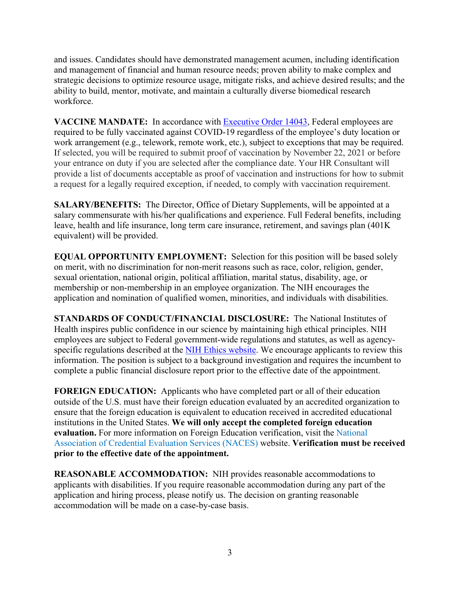and issues. Candidates should have demonstrated management acumen, including identification and management of financial and human resource needs; proven ability to make complex and strategic decisions to optimize resource usage, mitigate risks, and achieve desired results; and the ability to build, mentor, motivate, and maintain a culturally diverse biomedical research workforce.

**VACCINE MANDATE:** In accordance with [Executive Order 14043,](https://www.federalregister.gov/documents/2021/09/14/2021-19927/requiring-coronavirus-disease-2019-vaccination-for-federal-employees) Federal employees are required to be fully vaccinated against COVID-19 regardless of the employee's duty location or work arrangement (e.g., telework, remote work, etc.), subject to exceptions that may be required. If selected, you will be required to submit proof of vaccination by November 22, 2021 or before your entrance on duty if you are selected after the compliance date. Your HR Consultant will provide a list of documents acceptable as proof of vaccination and instructions for how to submit a request for a legally required exception, if needed, to comply with vaccination requirement.

**SALARY/BENEFITS:** The Director, Office of Dietary Supplements, will be appointed at a salary commensurate with his/her qualifications and experience. Full Federal benefits, including leave, health and life insurance, long term care insurance, retirement, and savings plan (401K equivalent) will be provided.

**EQUAL OPPORTUNITY EMPLOYMENT:** Selection for this position will be based solely on merit, with no discrimination for non-merit reasons such as race, color, religion, gender, sexual orientation, national origin, political affiliation, marital status, disability, age, or membership or non-membership in an employee organization. The NIH encourages the application and nomination of qualified women, minorities, and individuals with disabilities.

**STANDARDS OF CONDUCT/FINANCIAL DISCLOSURE:** The National Institutes of Health inspires public confidence in our science by maintaining high ethical principles. NIH employees are subject to Federal government-wide regulations and statutes, as well as agency-specific regulations described at the [NIH Ethics website.](https://ethics.od.nih.gov/default.htm) We encourage applicants to review this information. The position is subject to a background investigation and requires the incumbent to complete a public financial disclosure report prior to the effective date of the appointment.

**FOREIGN EDUCATION:** Applicants who have completed part or all of their education outside of the U.S. must have their foreign education evaluated by an accredited organization to ensure that the foreign education is equivalent to education received in accredited educational institutions in the United States. **We will only accept the completed foreign education evaluation.** For more information on Foreign Education verification, visit the [National](http://www.naces.org/members.htm)  [Association of Credential Evaluation Services \(NACES\)](http://www.naces.org/members.htm) website. **Verification must be received prior to the effective date of the appointment.** 

**REASONABLE ACCOMMODATION:** NIH provides reasonable accommodations to applicants with disabilities. If you require reasonable accommodation during any part of the application and hiring process, please notify us. The decision on granting reasonable accommodation will be made on a case-by-case basis.